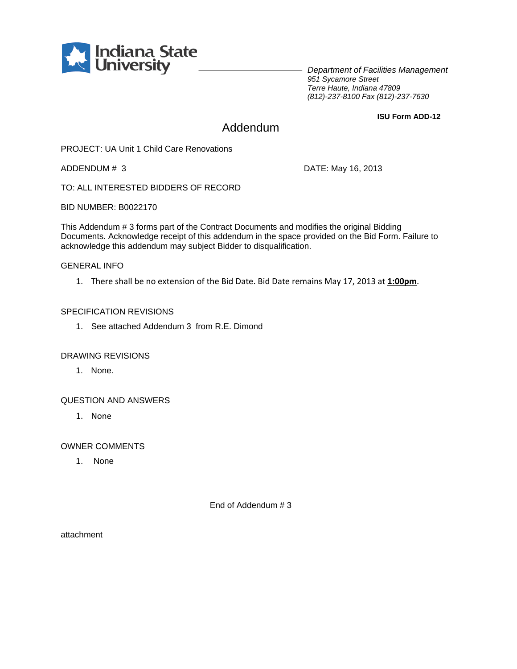

*Department of Facilities Management 951 Sycamore Street Terre Haute, Indiana 47809 (812)-237-8100 Fax (812)-237-7630*

**ISU Form ADD-12**

# Addendum

PROJECT: UA Unit 1 Child Care Renovations

ADDENDUM # 3 DATE: May 16, 2013

TO: ALL INTERESTED BIDDERS OF RECORD

BID NUMBER: B0022170

This Addendum # 3 forms part of the Contract Documents and modifies the original Bidding Documents. Acknowledge receipt of this addendum in the space provided on the Bid Form. Failure to acknowledge this addendum may subject Bidder to disqualification.

#### GENERAL INFO

1. There shall be no extension of the Bid Date. Bid Date remains May 17, 2013 at **1:00pm**.

#### SPECIFICATION REVISIONS

1. See attached Addendum 3 from R.E. Dimond

#### DRAWING REVISIONS

1. None.

### QUESTION AND ANSWERS

1. None

OWNER COMMENTS

1. None

End of Addendum # 3

attachment